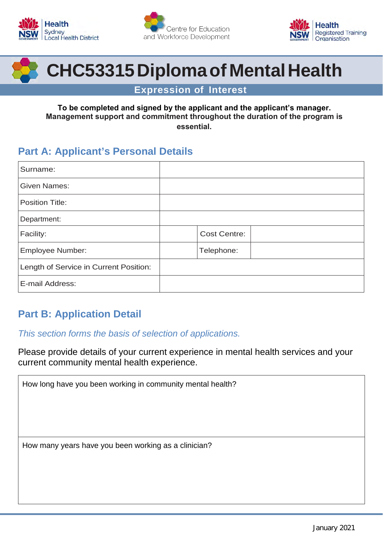





# **CHC53315Diplomaof MentalHealth**

**Expression of Interest**

#### **To be completed and signed by the applicant and the applicant's manager. Management support and commitment throughout the duration of the program is essential.**

## **Part A: Applicant's Personal Details**

| Surname:                               |                     |
|----------------------------------------|---------------------|
| <b>Given Names:</b>                    |                     |
| <b>Position Title:</b>                 |                     |
| Department:                            |                     |
| Facility:                              | <b>Cost Centre:</b> |
| <b>Employee Number:</b>                | Telephone:          |
| Length of Service in Current Position: |                     |
| E-mail Address:                        |                     |

# **Part B: Application Detail**

## *This section forms the basis of selection of applications.*

Please provide details of your current experience in mental health services and your current community mental health experience.

| How long have you been working in community mental health? |  |
|------------------------------------------------------------|--|
|                                                            |  |
|                                                            |  |
|                                                            |  |
| How many years have you been working as a clinician?       |  |
|                                                            |  |
|                                                            |  |
|                                                            |  |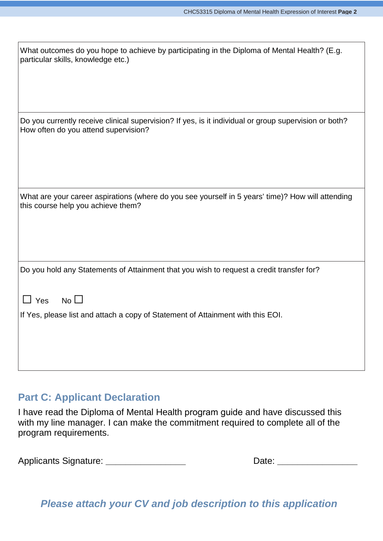| What outcomes do you hope to achieve by participating in the Diploma of Mental Health? (E.g.<br>particular skills, knowledge etc.)            |
|-----------------------------------------------------------------------------------------------------------------------------------------------|
| Do you currently receive clinical supervision? If yes, is it individual or group supervision or both?<br>How often do you attend supervision? |
| What are your career aspirations (where do you see yourself in 5 years' time)? How will attending<br>this course help you achieve them?       |
| Do you hold any Statements of Attainment that you wish to request a credit transfer for?<br>$No$ $\Box$<br>$\Box$ Yes                         |
| If Yes, please list and attach a copy of Statement of Attainment with this EOI.                                                               |

## **Part C: Applicant Declaration**

I have read the Diploma of Mental Health program guide and have discussed this with my line manager. I can make the commitment required to complete all of the program requirements.

Applicants Signature: \_\_\_\_\_\_\_\_\_\_\_\_\_\_\_\_\_\_\_\_\_\_\_\_\_\_\_\_\_\_\_\_\_\_\_Date: \_\_\_\_\_\_\_\_\_\_\_\_\_\_\_\_\_\_

*Please attach your CV and job description to this application*